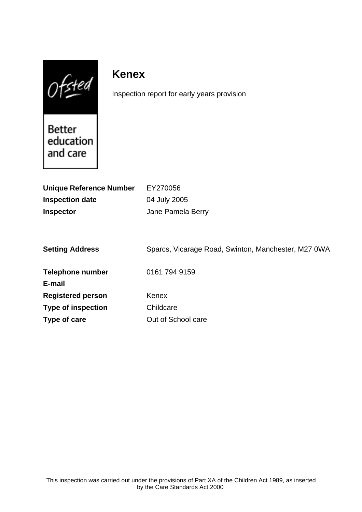$0$ fsted

# **Kenex**

Inspection report for early years provision

Better education and care

| <b>Unique Reference Number</b> | EY270056                                            |
|--------------------------------|-----------------------------------------------------|
| <b>Inspection date</b>         | 04 July 2005                                        |
| <b>Inspector</b>               | Jane Pamela Berry                                   |
|                                |                                                     |
|                                |                                                     |
| <b>Setting Address</b>         | Sparcs, Vicarage Road, Swinton, Manchester, M27 0WA |
|                                |                                                     |
| <b>Telephone number</b>        | 0161 794 9159                                       |
| E-mail                         |                                                     |
| <b>Registered person</b>       | Kenex                                               |
| <b>Type of inspection</b>      | Childcare                                           |
| Type of care                   | Out of School care                                  |
|                                |                                                     |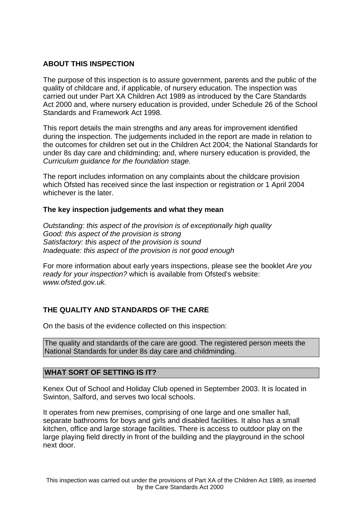# **ABOUT THIS INSPECTION**

The purpose of this inspection is to assure government, parents and the public of the quality of childcare and, if applicable, of nursery education. The inspection was carried out under Part XA Children Act 1989 as introduced by the Care Standards Act 2000 and, where nursery education is provided, under Schedule 26 of the School Standards and Framework Act 1998.

This report details the main strengths and any areas for improvement identified during the inspection. The judgements included in the report are made in relation to the outcomes for children set out in the Children Act 2004; the National Standards for under 8s day care and childminding; and, where nursery education is provided, the Curriculum guidance for the foundation stage.

The report includes information on any complaints about the childcare provision which Ofsted has received since the last inspection or registration or 1 April 2004 whichever is the later.

## **The key inspection judgements and what they mean**

Outstanding: this aspect of the provision is of exceptionally high quality Good: this aspect of the provision is strong Satisfactory: this aspect of the provision is sound Inadequate: this aspect of the provision is not good enough

For more information about early years inspections, please see the booklet Are you ready for your inspection? which is available from Ofsted's website: www.ofsted.gov.uk.

## **THE QUALITY AND STANDARDS OF THE CARE**

On the basis of the evidence collected on this inspection:

The quality and standards of the care are good. The registered person meets the National Standards for under 8s day care and childminding.

## **WHAT SORT OF SETTING IS IT?**

Kenex Out of School and Holiday Club opened in September 2003. It is located in Swinton, Salford, and serves two local schools.

It operates from new premises, comprising of one large and one smaller hall, separate bathrooms for boys and girls and disabled facilities. It also has a small kitchen, office and large storage facilities. There is access to outdoor play on the large playing field directly in front of the building and the playground in the school next door.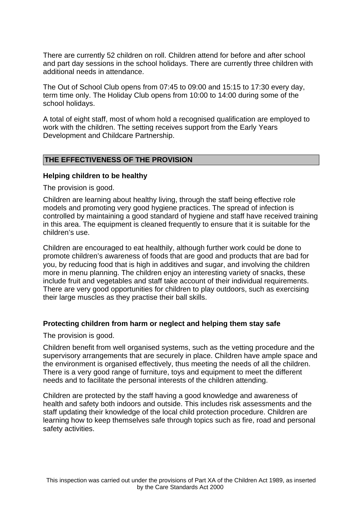There are currently 52 children on roll. Children attend for before and after school and part day sessions in the school holidays. There are currently three children with additional needs in attendance.

The Out of School Club opens from 07:45 to 09:00 and 15:15 to 17:30 every day, term time only. The Holiday Club opens from 10:00 to 14:00 during some of the school holidays.

A total of eight staff, most of whom hold a recognised qualification are employed to work with the children. The setting receives support from the Early Years Development and Childcare Partnership.

#### **THE EFFECTIVENESS OF THE PROVISION**

#### **Helping children to be healthy**

The provision is good.

Children are learning about healthy living, through the staff being effective role models and promoting very good hygiene practices. The spread of infection is controlled by maintaining a good standard of hygiene and staff have received training in this area. The equipment is cleaned frequently to ensure that it is suitable for the children's use.

Children are encouraged to eat healthily, although further work could be done to promote children's awareness of foods that are good and products that are bad for you, by reducing food that is high in additives and sugar, and involving the children more in menu planning. The children enjoy an interesting variety of snacks, these include fruit and vegetables and staff take account of their individual requirements. There are very good opportunities for children to play outdoors, such as exercising their large muscles as they practise their ball skills.

#### **Protecting children from harm or neglect and helping them stay safe**

The provision is good.

Children benefit from well organised systems, such as the vetting procedure and the supervisory arrangements that are securely in place. Children have ample space and the environment is organised effectively, thus meeting the needs of all the children. There is a very good range of furniture, toys and equipment to meet the different needs and to facilitate the personal interests of the children attending.

Children are protected by the staff having a good knowledge and awareness of health and safety both indoors and outside. This includes risk assessments and the staff updating their knowledge of the local child protection procedure. Children are learning how to keep themselves safe through topics such as fire, road and personal safety activities.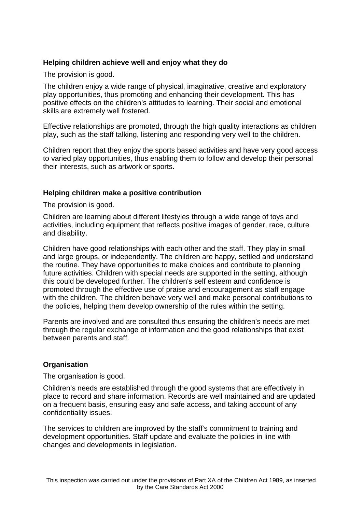# **Helping children achieve well and enjoy what they do**

The provision is good.

The children enjoy a wide range of physical, imaginative, creative and exploratory play opportunities, thus promoting and enhancing their development. This has positive effects on the children's attitudes to learning. Their social and emotional skills are extremely well fostered.

Effective relationships are promoted, through the high quality interactions as children play, such as the staff talking, listening and responding very well to the children.

Children report that they enjoy the sports based activities and have very good access to varied play opportunities, thus enabling them to follow and develop their personal their interests, such as artwork or sports.

## **Helping children make a positive contribution**

The provision is good.

Children are learning about different lifestyles through a wide range of toys and activities, including equipment that reflects positive images of gender, race, culture and disability.

Children have good relationships with each other and the staff. They play in small and large groups, or independently. The children are happy, settled and understand the routine. They have opportunities to make choices and contribute to planning future activities. Children with special needs are supported in the setting, although this could be developed further. The children's self esteem and confidence is promoted through the effective use of praise and encouragement as staff engage with the children. The children behave very well and make personal contributions to the policies, helping them develop ownership of the rules within the setting.

Parents are involved and are consulted thus ensuring the children's needs are met through the regular exchange of information and the good relationships that exist between parents and staff.

## **Organisation**

The organisation is good.

Children's needs are established through the good systems that are effectively in place to record and share information. Records are well maintained and are updated on a frequent basis, ensuring easy and safe access, and taking account of any confidentiality issues.

The services to children are improved by the staff's commitment to training and development opportunities. Staff update and evaluate the policies in line with changes and developments in legislation.